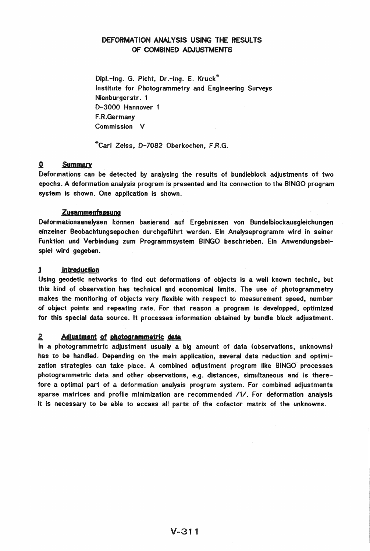# DEFORMATION ANALYSIS USING THE RESULTS OF COMBINED ADJUSTMENTS

Dipl.-Ing. G. Picht, Dr.-Ing. E. Kruck\* Institute for Photogrammetry and Engineering Surveys Nienburgerstr. 1 D-3000 Hannover 1 F.R .Germany Commission V

\*Carl Zeiss, D-7082 Oberkochen, F.R.G.

### o Summary

Deformations can be detected by analysing the results of bundleblock adjustments of two epochs. A deformation analysis program is presented and its connection to the BINGO program system is shown. One application is shown.

### **Zusammenfassung**

Deformationsanalysen können basierend auf Ergebnissen von Bündelblockausgleichungen einzelner Beobachtungsepochen durchgeführt werden. Ein Analyseprogramm wird in seiner Funktion und Verbindung zum Programmsystem BINGO beschrieben. Ein Anwendungsbeispiel wird gegeben.

### 1 Introduction

Using geodetic networks to find out deformations of objects is a well known technic, but this kind of observation has technical and economical limits. The use of photogrammetry makes the monitoring of objects very flexible with respect to measurement speed, number of object points and repeating rate. For that reason a program is developped, optimized for this special data source. It processes information obtained by bundle block adjustment.

#### $\boldsymbol{2}$ Adlustment of photogrammetric data

In a photogrammetric adjustment usually a big amount of data (observations, unknowns) has to be handled. Depending on the main application, several data reduction and optimization strategies can take place. A combined adjustment program like BINGO processes photogrammetric data and other observations, e.g. distances, simultaneous and is therefore a optimal part of a deformation analysis program system. For combined adjustments sparse matrices and profile minimization are recommended /1/. For deformation analysis it is necessary to be able to access all parts of the cofactor matrix of the unknowns.

# $V - 311$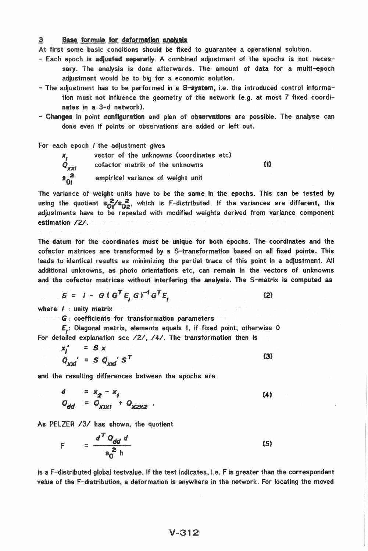#### 3 Base formula for deformation analysis

At first some basic conditions should be fixed to quarantee a operational solution.

- Each epoch is adjusted seperatly. A combined adjustment of the epochs is not necessary. The analysis is done afterwards. The amount of data for a multi-epoch adjustment would be to big for a economic solution.
- The adjustment has to be performed in a S-system, i.e. the introduced control information must not influence the geometry of the network (e.g. at most 7 fixed coordinates in a 3-d network).
- Changes in point configuration and plan of observations are possible. The analyse can done even if points or observations are added or left out.

For each epoch *i* the adjustment gives



vector of the unknowns (coordinates etc)  $(1)$ cofactor matrix of the unknowns empirical variance of weight unit

The variance of weight units have to be the same in the epochs. This can be tested by using the quotient  $s_0^2/s_0^2$ , which is F-distributed. If the variances are different, the adjustments have to be repeated with modified weights derived from variance component estimation /2/.

The datum for the coordinates must be unique for both epochs. The coordinates and the cofactor matrices are transformed by a S-transformation based on all fixed points. This leads to identical results as minimizing the partial trace of this point in a adjustment. All additional unknowns, as photo orientations etc, can remain in the vectors of unknowns and the cofactor matrices without interfering the analysis. The S-matrix is computed as

 $(2)$ 

$$
S = I - G(G^T E, G)^{-1} G^T E,
$$

where  $I$  : unity matrix

**C: Coefficients for transformation parameters** 

E.: Diagonal matrix, elements equals 1, if fixed point, otherwise 0 For detailed explanation see /2/, /4/. The transformation then is

 $x_j' = S x$  $Q_{\text{xxi}} = S Q_{\text{xxi}} S^T$  $(3)$ 

and the resulting differences between the epochs are

$$
d = x_2 - x_1
$$
  
\n
$$
Q_{dd} = Q_{x1x1} + Q_{x2x2}
$$
 (4)

As PELZER /3/ has shown, the quotient

$$
F = \frac{d^T Q_{dd} d}{s_0^2 h}
$$
 (5)

is a F-distributed global testvalue. If the test indicates, i.e. F is greater than the correspondent value of the F-distribution, a deformation is anywhere in the network. For locating the moved

# $V - 312$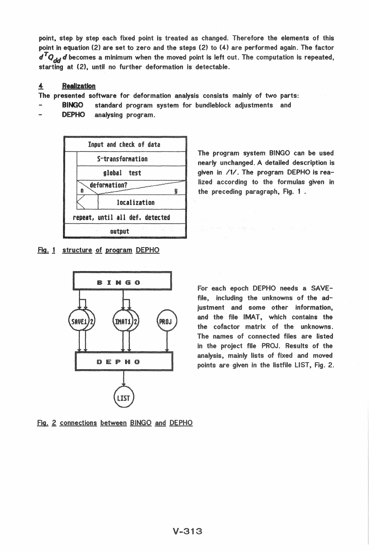point, step by step each fixed point is treated as changed. Therefore the elements of this point in equation (2) are set to zero and the steps (2) to (4) are performed again. The factor  $d^T Q_{\mathcal{A} \mathcal{A}} d$  becomes a minimum when the moved point is left out. The computation is repeated, starting at (2), until no further deformation is detectable.

#### 4 **Realization**

The presented software for deformation analysis consists mainly of two parts:

- standard program system for bundleblock adjustments and **BINGO**
- **DEPHO** analysing program.



Fig. 1 structure of program DEPHO



The program system BINGO can be used nearly unchanged. A detailed description is given in /1/. The program DEPHO is realized according to the formulas given in the preceding paragraph, Fig. 1.

For each epoch DEPHO needs a SAVEfile, including the unknowns of the adjustment and some other information, and the file IMAT, which contains the the cofactor matrix of the unknowns. The names of connected files are listed in the project file PROJ. Results of the analysis, mainly lists of fixed and moved points are given in the listfile LIST, Fig. 2.

Fig. 2 connections between BINGO and DEPHO